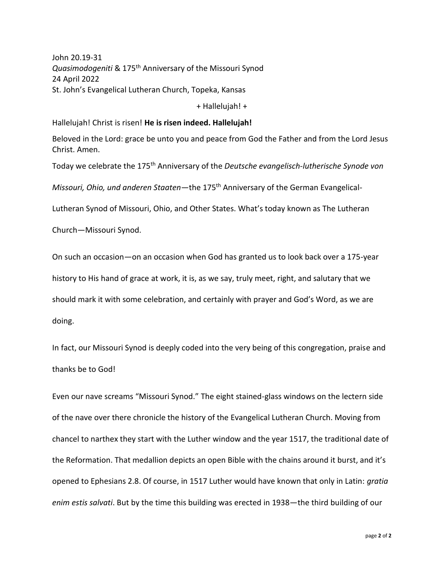John 20.19-31 *Quasimodogeniti* & 175th Anniversary of the Missouri Synod 24 April 2022 St. John's Evangelical Lutheran Church, Topeka, Kansas

+ Hallelujah! +

Hallelujah! Christ is risen! **He is risen indeed. Hallelujah!**

Beloved in the Lord: grace be unto you and peace from God the Father and from the Lord Jesus Christ. Amen.

Today we celebrate the 175th Anniversary of the *Deutsche evangelisch-lutherische Synode von* 

*Missouri, Ohio, und anderen Staaten*—the 175th Anniversary of the German Evangelical-

Lutheran Synod of Missouri, Ohio, and Other States. What's today known as The Lutheran

Church—Missouri Synod.

On such an occasion—on an occasion when God has granted us to look back over a 175-year history to His hand of grace at work, it is, as we say, truly meet, right, and salutary that we should mark it with some celebration, and certainly with prayer and God's Word, as we are

doing.

In fact, our Missouri Synod is deeply coded into the very being of this congregation, praise and thanks be to God!

Even our nave screams "Missouri Synod." The eight stained-glass windows on the lectern side of the nave over there chronicle the history of the Evangelical Lutheran Church. Moving from chancel to narthex they start with the Luther window and the year 1517, the traditional date of the Reformation. That medallion depicts an open Bible with the chains around it burst, and it's opened to Ephesians 2.8. Of course, in 1517 Luther would have known that only in Latin: *gratia enim estis salvati*. But by the time this building was erected in 1938—the third building of our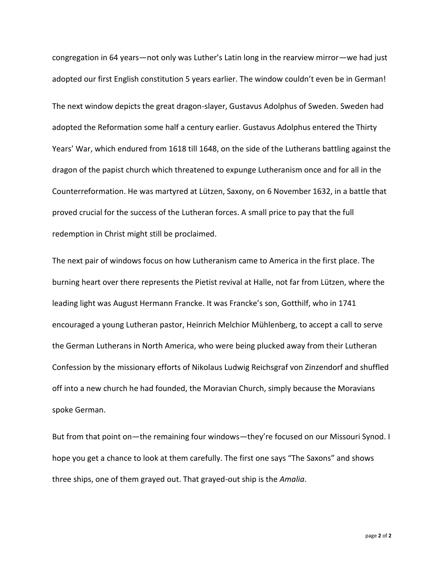congregation in 64 years—not only was Luther's Latin long in the rearview mirror—we had just adopted our first English constitution 5 years earlier. The window couldn't even be in German! The next window depicts the great dragon-slayer, Gustavus Adolphus of Sweden. Sweden had adopted the Reformation some half a century earlier. Gustavus Adolphus entered the Thirty Years' War, which endured from 1618 till 1648, on the side of the Lutherans battling against the dragon of the papist church which threatened to expunge Lutheranism once and for all in the Counterreformation. He was martyred at Lützen, Saxony, on 6 November 1632, in a battle that proved crucial for the success of the Lutheran forces. A small price to pay that the full redemption in Christ might still be proclaimed.

The next pair of windows focus on how Lutheranism came to America in the first place. The burning heart over there represents the Pietist revival at Halle, not far from Lützen, where the leading light was August Hermann Francke. It was Francke's son, Gotthilf, who in 1741 encouraged a young Lutheran pastor, Heinrich Melchior Mühlenberg, to accept a call to serve the German Lutherans in North America, who were being plucked away from their Lutheran Confession by the missionary efforts of Nikolaus Ludwig Reichsgraf von Zinzendorf and shuffled off into a new church he had founded, the Moravian Church, simply because the Moravians spoke German.

But from that point on—the remaining four windows—they're focused on our Missouri Synod. I hope you get a chance to look at them carefully. The first one says "The Saxons" and shows three ships, one of them grayed out. That grayed-out ship is the *Amalia*.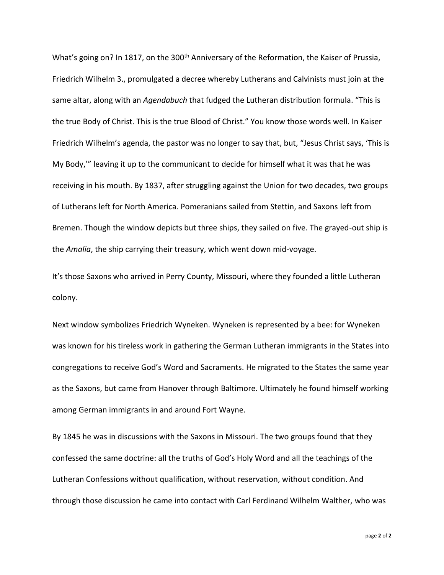What's going on? In 1817, on the 300<sup>th</sup> Anniversary of the Reformation, the Kaiser of Prussia, Friedrich Wilhelm 3., promulgated a decree whereby Lutherans and Calvinists must join at the same altar, along with an *Agendabuch* that fudged the Lutheran distribution formula. "This is the true Body of Christ. This is the true Blood of Christ." You know those words well. In Kaiser Friedrich Wilhelm's agenda, the pastor was no longer to say that, but, "Jesus Christ says, 'This is My Body,'" leaving it up to the communicant to decide for himself what it was that he was receiving in his mouth. By 1837, after struggling against the Union for two decades, two groups of Lutherans left for North America. Pomeranians sailed from Stettin, and Saxons left from Bremen. Though the window depicts but three ships, they sailed on five. The grayed-out ship is the *Amalia*, the ship carrying their treasury, which went down mid-voyage.

It's those Saxons who arrived in Perry County, Missouri, where they founded a little Lutheran colony.

Next window symbolizes Friedrich Wyneken. Wyneken is represented by a bee: for Wyneken was known for his tireless work in gathering the German Lutheran immigrants in the States into congregations to receive God's Word and Sacraments. He migrated to the States the same year as the Saxons, but came from Hanover through Baltimore. Ultimately he found himself working among German immigrants in and around Fort Wayne.

By 1845 he was in discussions with the Saxons in Missouri. The two groups found that they confessed the same doctrine: all the truths of God's Holy Word and all the teachings of the Lutheran Confessions without qualification, without reservation, without condition. And through those discussion he came into contact with Carl Ferdinand Wilhelm Walther, who was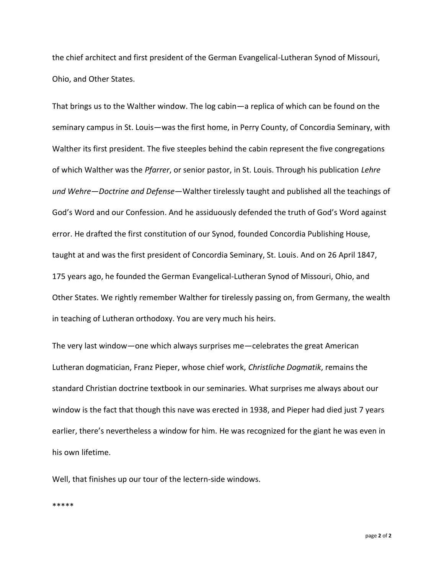the chief architect and first president of the German Evangelical-Lutheran Synod of Missouri, Ohio, and Other States.

That brings us to the Walther window. The log cabin—a replica of which can be found on the seminary campus in St. Louis—was the first home, in Perry County, of Concordia Seminary, with Walther its first president. The five steeples behind the cabin represent the five congregations of which Walther was the *Pfarrer*, or senior pastor, in St. Louis. Through his publication *Lehre und Wehre*—*Doctrine and Defense*—Walther tirelessly taught and published all the teachings of God's Word and our Confession. And he assiduously defended the truth of God's Word against error. He drafted the first constitution of our Synod, founded Concordia Publishing House, taught at and was the first president of Concordia Seminary, St. Louis. And on 26 April 1847, 175 years ago, he founded the German Evangelical-Lutheran Synod of Missouri, Ohio, and Other States. We rightly remember Walther for tirelessly passing on, from Germany, the wealth in teaching of Lutheran orthodoxy. You are very much his heirs.

The very last window—one which always surprises me—celebrates the great American Lutheran dogmatician, Franz Pieper, whose chief work, *Christliche Dogmatik*, remains the standard Christian doctrine textbook in our seminaries. What surprises me always about our window is the fact that though this nave was erected in 1938, and Pieper had died just 7 years earlier, there's nevertheless a window for him. He was recognized for the giant he was even in his own lifetime.

Well, that finishes up our tour of the lectern-side windows.

\*\*\*\*\*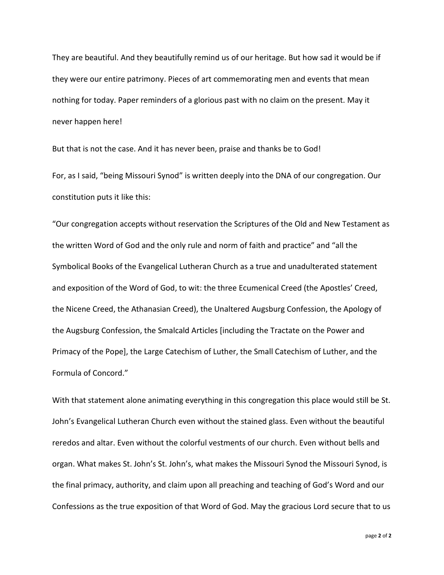They are beautiful. And they beautifully remind us of our heritage. But how sad it would be if they were our entire patrimony. Pieces of art commemorating men and events that mean nothing for today. Paper reminders of a glorious past with no claim on the present. May it never happen here!

But that is not the case. And it has never been, praise and thanks be to God!

For, as I said, "being Missouri Synod" is written deeply into the DNA of our congregation. Our constitution puts it like this:

"Our congregation accepts without reservation the Scriptures of the Old and New Testament as the written Word of God and the only rule and norm of faith and practice" and "all the Symbolical Books of the Evangelical Lutheran Church as a true and unadulterated statement and exposition of the Word of God, to wit: the three Ecumenical Creed (the Apostles' Creed, the Nicene Creed, the Athanasian Creed), the Unaltered Augsburg Confession, the Apology of the Augsburg Confession, the Smalcald Articles [including the Tractate on the Power and Primacy of the Pope], the Large Catechism of Luther, the Small Catechism of Luther, and the Formula of Concord."

With that statement alone animating everything in this congregation this place would still be St. John's Evangelical Lutheran Church even without the stained glass. Even without the beautiful reredos and altar. Even without the colorful vestments of our church. Even without bells and organ. What makes St. John's St. John's, what makes the Missouri Synod the Missouri Synod, is the final primacy, authority, and claim upon all preaching and teaching of God's Word and our Confessions as the true exposition of that Word of God. May the gracious Lord secure that to us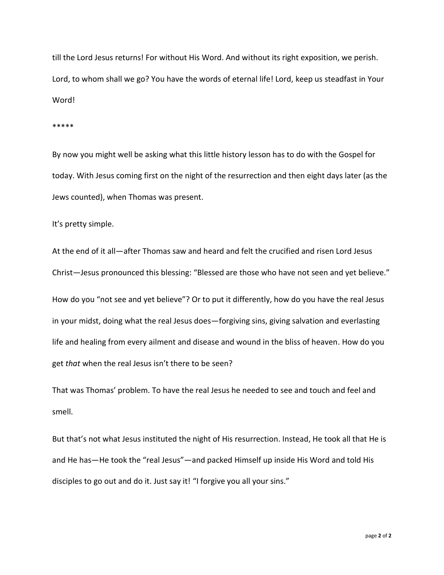till the Lord Jesus returns! For without His Word. And without its right exposition, we perish. Lord, to whom shall we go? You have the words of eternal life! Lord, keep us steadfast in Your Word!

## \*\*\*\*\*

By now you might well be asking what this little history lesson has to do with the Gospel for today. With Jesus coming first on the night of the resurrection and then eight days later (as the Jews counted), when Thomas was present.

It's pretty simple.

At the end of it all—after Thomas saw and heard and felt the crucified and risen Lord Jesus Christ—Jesus pronounced this blessing: "Blessed are those who have not seen and yet believe." How do you "not see and yet believe"? Or to put it differently, how do you have the real Jesus in your midst, doing what the real Jesus does—forgiving sins, giving salvation and everlasting life and healing from every ailment and disease and wound in the bliss of heaven. How do you get *that* when the real Jesus isn't there to be seen?

That was Thomas' problem. To have the real Jesus he needed to see and touch and feel and smell.

But that's not what Jesus instituted the night of His resurrection. Instead, He took all that He is and He has—He took the "real Jesus"—and packed Himself up inside His Word and told His disciples to go out and do it. Just say it! "I forgive you all your sins."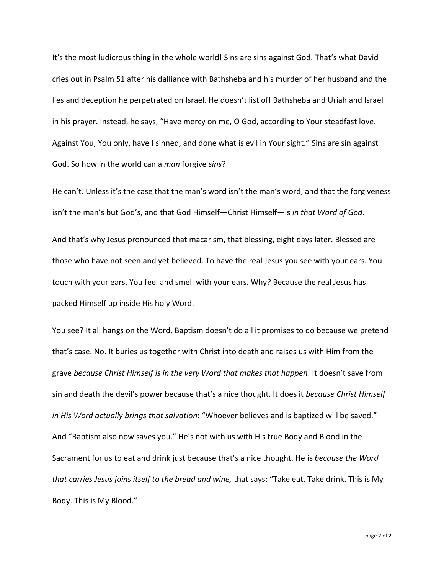It's the most ludicrous thing in the whole world! Sins are sins against God. That's what David cries out in Psalm 51 after his dalliance with Bathsheba and his murder of her husband and the lies and deception he perpetrated on Israel. He doesn't list off Bathsheba and Uriah and Israel in his prayer. Instead, he says, "Have mercy on me, O God, according to Your steadfast love. Against You, You only, have I sinned, and done what is evil in Your sight." Sins are sin against God. So how in the world can a *man* forgive *sins*?

He can't. Unless it's the case that the man's word isn't the man's word, and that the forgiveness isn't the man's but God's, and that God Himself—Christ Himself—is *in that Word of God*.

And that's why Jesus pronounced that macarism, that blessing, eight days later. Blessed are those who have not seen and yet believed. To have the real Jesus you see with your ears. You touch with your ears. You feel and smell with your ears. Why? Because the real Jesus has packed Himself up inside His holy Word.

You see? It all hangs on the Word. Baptism doesn't do all it promises to do because we pretend that's case. No. It buries us together with Christ into death and raises us with Him from the grave *because Christ Himself is in the very Word that makes that happen*. It doesn't save from sin and death the devil's power because that's a nice thought. It does it *because Christ Himself in His Word actually brings that salvation*: "Whoever believes and is baptized will be saved." And "Baptism also now saves you." He's not with us with His true Body and Blood in the Sacrament for us to eat and drink just because that's a nice thought. He is *because the Word that carries Jesus joins itself to the bread and wine,* that says: "Take eat. Take drink. This is My Body. This is My Blood."